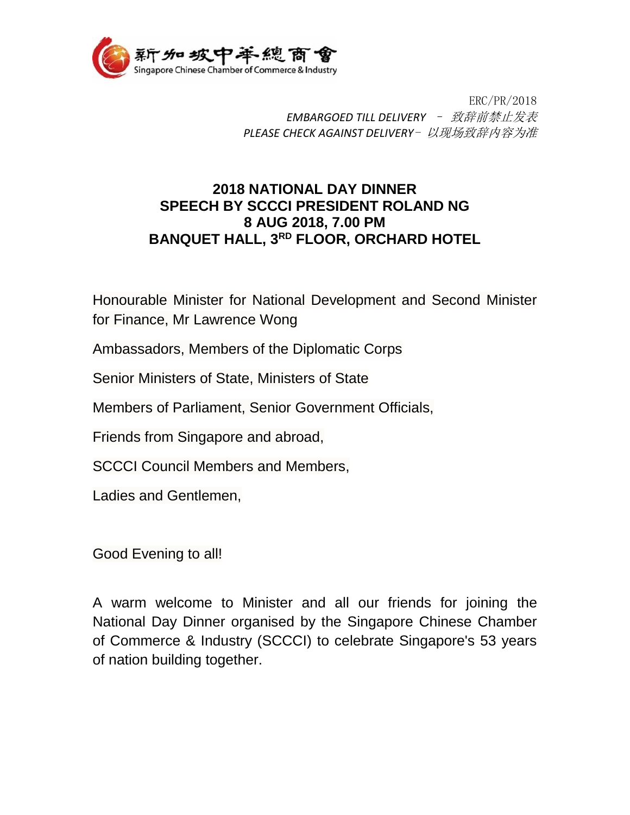

ERC/PR/2018 *EMBARGOED TILL DELIVERY* – 致辞前禁止发表 *PLEASE CHECK AGAINST DELIVERY*- 以现场致辞内容为准

## **2018 NATIONAL DAY DINNER SPEECH BY SCCCI PRESIDENT ROLAND NG 8 AUG 2018, 7.00 PM BANQUET HALL, 3RD FLOOR, ORCHARD HOTEL**

Honourable Minister for National Development and Second Minister for Finance, Mr Lawrence Wong

Ambassadors, Members of the Diplomatic Corps

Senior Ministers of State, Ministers of State

Members of Parliament, Senior Government Officials,

Friends from Singapore and abroad,

SCCCI Council Members and Members,

Ladies and Gentlemen,

Good Evening to all!

A warm welcome to Minister and all our friends for joining the National Day Dinner organised by the Singapore Chinese Chamber of Commerce & Industry (SCCCI) to celebrate Singapore's 53 years of nation building together.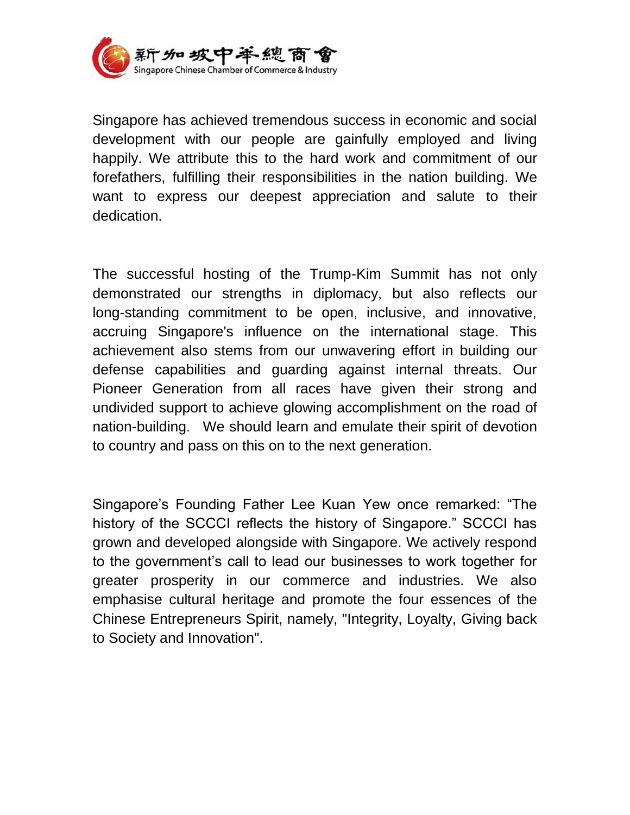

Singapore has achieved tremendous success in economic and social development with our people are gainfully employed and living happily. We attribute this to the hard work and commitment of our forefathers, fulfilling their responsibilities in the nation building. We want to express our deepest appreciation and salute to their dedication.

The successful hosting of the Trump-Kim Summit has not only demonstrated our strengths in diplomacy, but also reflects our long-standing commitment to be open, inclusive, and innovative, accruing Singapore's influence on the international stage. This achievement also stems from our unwavering effort in building our defense capabilities and guarding against internal threats. Our Pioneer Generation from all races have given their strong and undivided support to achieve glowing accomplishment on the road of nation-building. We should learn and emulate their spirit of devotion to country and pass on this on to the next generation.

Singapore's Founding Father Lee Kuan Yew once remarked: "The history of the SCCCI reflects the history of Singapore." SCCCI has grown and developed alongside with Singapore. We actively respond to the government's call to lead our businesses to work together for greater prosperity in our commerce and industries. We also emphasise cultural heritage and promote the four essences of the Chinese Entrepreneurs Spirit, namely, "Integrity, Loyalty, Giving back to Society and Innovation".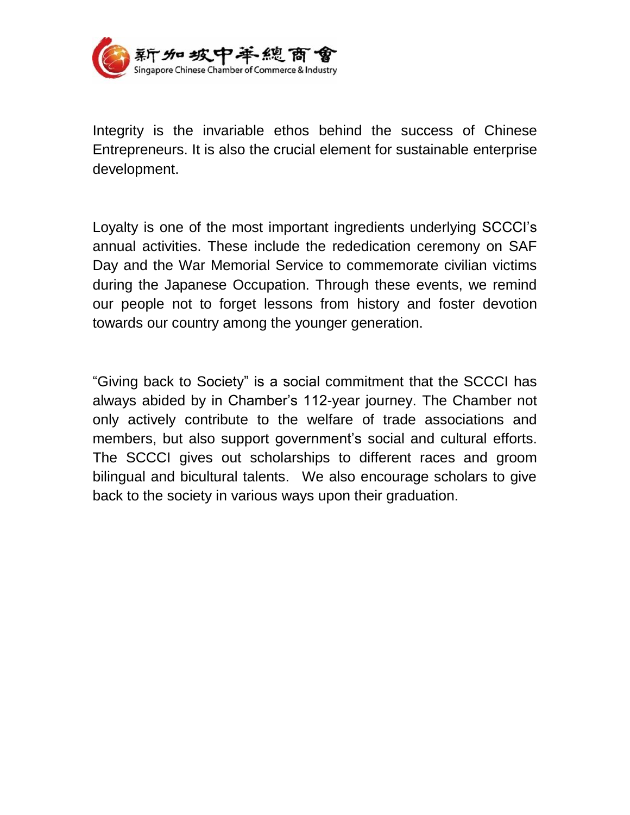

Integrity is the invariable ethos behind the success of Chinese Entrepreneurs. It is also the crucial element for sustainable enterprise development.

Loyalty is one of the most important ingredients underlying SCCCI's annual activities. These include the rededication ceremony on SAF Day and the War Memorial Service to commemorate civilian victims during the Japanese Occupation. Through these events, we remind our people not to forget lessons from history and foster devotion towards our country among the younger generation.

"Giving back to Society" is a social commitment that the SCCCI has always abided by in Chamber's 112-year journey. The Chamber not only actively contribute to the welfare of trade associations and members, but also support government's social and cultural efforts. The SCCCI gives out scholarships to different races and groom bilingual and bicultural talents. We also encourage scholars to give back to the society in various ways upon their graduation.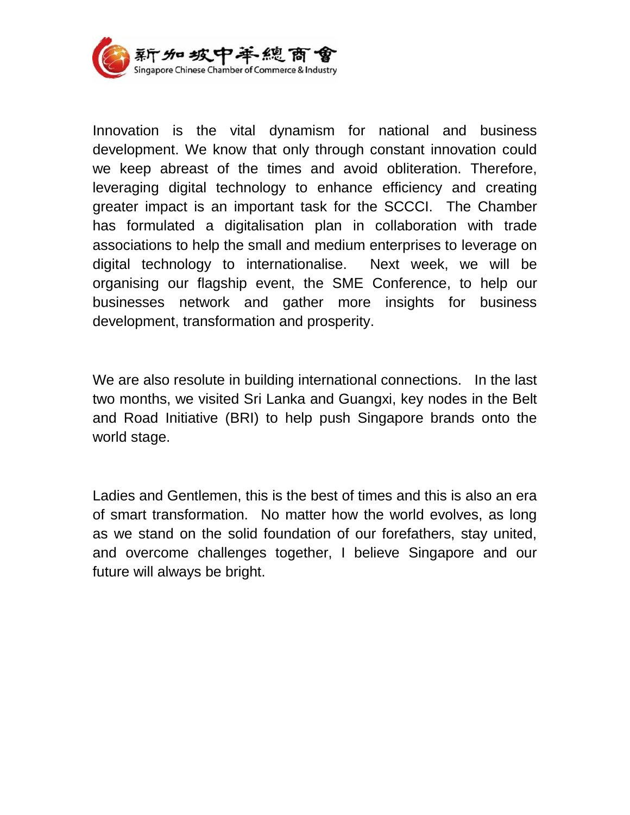

Innovation is the vital dynamism for national and business development. We know that only through constant innovation could we keep abreast of the times and avoid obliteration. Therefore, leveraging digital technology to enhance efficiency and creating greater impact is an important task for the SCCCI. The Chamber has formulated a digitalisation plan in collaboration with trade associations to help the small and medium enterprises to leverage on digital technology to internationalise. Next week, we will be organising our flagship event, the SME Conference, to help our businesses network and gather more insights for business development, transformation and prosperity.

We are also resolute in building international connections. In the last two months, we visited Sri Lanka and Guangxi, key nodes in the Belt and Road Initiative (BRI) to help push Singapore brands onto the world stage.

Ladies and Gentlemen, this is the best of times and this is also an era of smart transformation. No matter how the world evolves, as long as we stand on the solid foundation of our forefathers, stay united, and overcome challenges together, I believe Singapore and our future will always be bright.